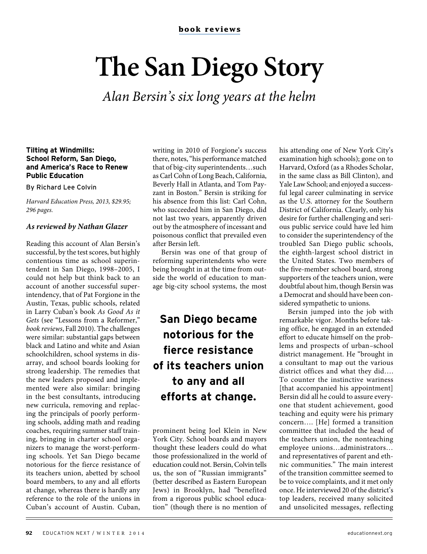# **The San Diego Story**

Alan Bersin's six long years at the helm

#### **Tilting at Windmills: School Reform, San Diego, and America's Race to Renew Public Education**

By Richard Lee Colvin

Harvard Education Press, 2013, \$29.95; 296 pages.

#### **As reviewed by Nathan Glazer**

Reading this account of Alan Bersin's successful, by the test scores, but highly contentious time as school superintendent in San Diego, 1998–2005, I could not help but think back to an account of another successful superintendency, that of Pat Forgione in the Austin, Texas, public schools, related in Larry Cuban's book As Good As it Gets (see "Lessons from a Reformer," book reviews, Fall 2010). The challenges were similar: substantial gaps between black and Latino and white and Asian schoolchildren, school systems in disarray, and school boards looking for strong leadership. The remedies that the new leaders proposed and implemented were also similar: bringing in the best consultants, introducing new curricula, removing and replacing the principals of poorly performing schools, adding math and reading coaches, requiring summer staff training, bringing in charter school organizers to manage the worst-performing schools. Yet San Diego became notorious for the fierce resistance of its teachers union, abetted by school board members, to any and all efforts at change, whereas there is hardly any reference to the role of the unions in Cuban's account of Austin. Cuban,

writing in 2010 of Forgione's success there, notes, "his performance matched that of big-city superintendents…such as Carl Cohn of Long Beach, California, Beverly Hall in Atlanta, and Tom Payzant in Boston." Bersin is striking for his absence from this list: Carl Cohn, who succeeded him in San Diego, did not last two years, apparently driven out by the atmosphere of incessant and poisonous conflict that prevailed even after Bersin left.

Bersin was one of that group of reforming superintendents who were being brought in at the time from outside the world of education to manage big-city school systems, the most

## **San Diego became notorious for the fierce resistance of its teachers union to any and all efforts at change.**

prominent being Joel Klein in New York City. School boards and mayors thought these leaders could do what those professionalized in the world of education could not. Bersin, Colvin tells us, the son of "Russian immigrants" (better described as Eastern European Jews) in Brooklyn, had "benefited from a rigorous public school education" (though there is no mention of his attending one of New York City's examination high schools); gone on to Harvard, Oxford (as a Rhodes Scholar, in the same class as Bill Clinton), and Yale Law School; and enjoyed a successful legal career culminating in service as the U.S. attorney for the Southern District of California. Clearly, only his desire for further challenging and serious public service could have led him to consider the superintendency of the troubled San Diego public schools, the eighth-largest school district in the United States. Two members of the five-member school board, strong supporters of the teachers union, were doubtful about him, though Bersin was a Democrat and should have been considered sympathetic to unions.

Bersin jumped into the job with remarkable vigor. Months before taking office, he engaged in an extended effort to educate himself on the problems and prospects of urban–school district management. He "brought in a consultant to map out the various district offices and what they did…. To counter the instinctive wariness [that accompanied his appointment] Bersin did all he could to assure everyone that student achievement, good teaching and equity were his primary concern…. [He] formed a transition committee that included the head of the teachers union, the nonteaching employee unions…administrators… and representatives of parent and ethnic communities." The main interest of the transition committee seemed to be to voice complaints, and it met only once. He interviewed 20 of the district's top leaders, received many solicited and unsolicited messages, reflecting